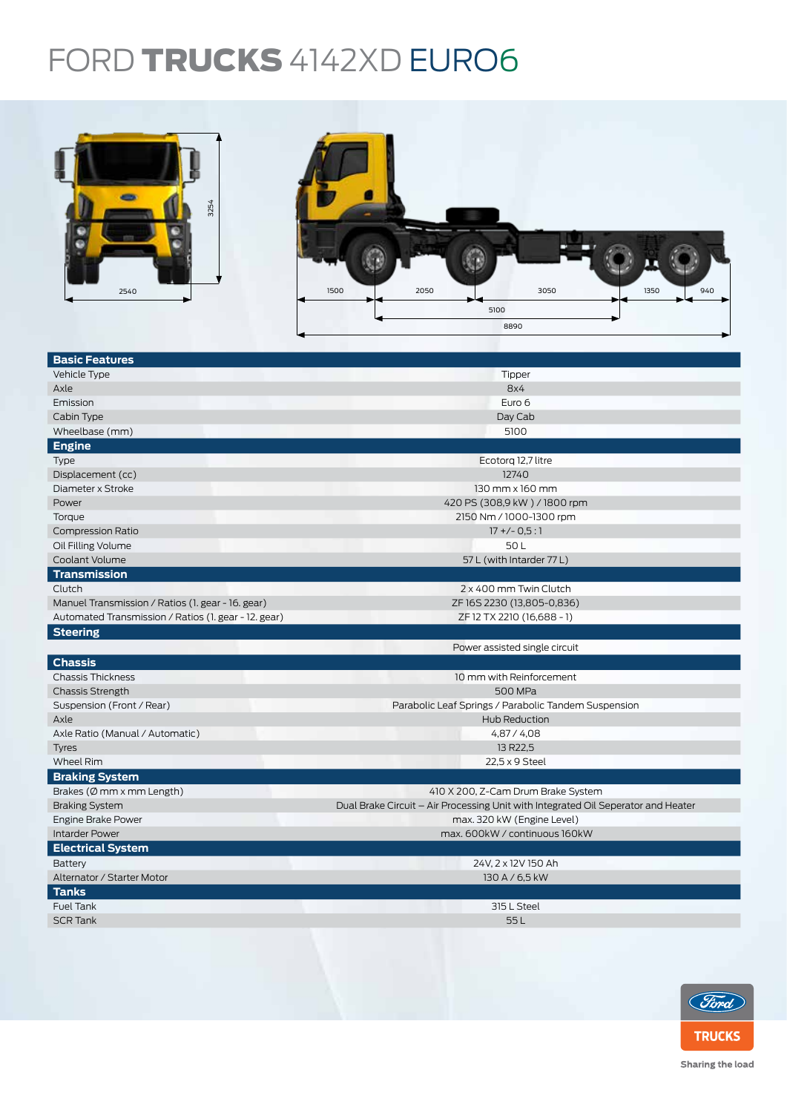## FORD TRUCKS 4142XD EURO6



| 3254<br>2540                                         | 2050<br>3050<br>1350<br>1500<br>940<br>5100<br>8890                               |  |  |  |  |
|------------------------------------------------------|-----------------------------------------------------------------------------------|--|--|--|--|
| <b>Basic Features</b>                                |                                                                                   |  |  |  |  |
| Vehicle Type                                         | Tipper                                                                            |  |  |  |  |
| Axle                                                 | 8x4                                                                               |  |  |  |  |
| Emission                                             | Euro 6                                                                            |  |  |  |  |
| Cabin Type                                           | Day Cab                                                                           |  |  |  |  |
| Wheelbase (mm)                                       | 5100                                                                              |  |  |  |  |
| <b>Engine</b>                                        |                                                                                   |  |  |  |  |
| Type                                                 | Ecotorq 12,7 litre                                                                |  |  |  |  |
| Displacement (cc)                                    | 12740                                                                             |  |  |  |  |
| Diameter x Stroke                                    | 130 mm x 160 mm                                                                   |  |  |  |  |
| Power                                                | 420 PS (308,9 kW) / 1800 rpm                                                      |  |  |  |  |
| Torque                                               | 2150 Nm / 1000-1300 rpm                                                           |  |  |  |  |
| <b>Compression Ratio</b>                             | $17 + (-0.5:1)$                                                                   |  |  |  |  |
| Oil Filling Volume                                   | 50L                                                                               |  |  |  |  |
| Coolant Volume                                       | 57 L (with Intarder 77 L)                                                         |  |  |  |  |
| <b>Transmission</b>                                  |                                                                                   |  |  |  |  |
| Clutch                                               | 2 x 400 mm Twin Clutch                                                            |  |  |  |  |
| Manuel Transmission / Ratios (1. gear - 16. gear)    | ZF16S2230 (13,805-0,836)                                                          |  |  |  |  |
| Automated Transmission / Ratios (1. gear - 12. gear) | ZF 12 TX 2210 (16,688 - 1)                                                        |  |  |  |  |
| <b>Steering</b>                                      |                                                                                   |  |  |  |  |
|                                                      | Power assisted single circuit                                                     |  |  |  |  |
| <b>Chassis</b>                                       |                                                                                   |  |  |  |  |
| <b>Chassis Thickness</b>                             | 10 mm with Reinforcement                                                          |  |  |  |  |
| <b>Chassis Strength</b>                              | 500 MPa                                                                           |  |  |  |  |
| Suspension (Front / Rear)                            | Parabolic Leaf Springs / Parabolic Tandem Suspension                              |  |  |  |  |
| Axle                                                 | Hub Reduction                                                                     |  |  |  |  |
| Axle Ratio (Manual / Automatic)                      | 4,87 / 4,08                                                                       |  |  |  |  |
| <b>Tyres</b>                                         | 13 R22,5                                                                          |  |  |  |  |
| Wheel Rim                                            | 22,5 x 9 Steel                                                                    |  |  |  |  |
| <b>Braking System</b>                                |                                                                                   |  |  |  |  |
| Brakes (Ø mm x mm Length)                            | 410 X 200, Z-Cam Drum Brake System                                                |  |  |  |  |
| <b>Braking System</b>                                | Dual Brake Circuit - Air Processing Unit with Integrated Oil Seperator and Heater |  |  |  |  |
| <b>Engine Brake Power</b>                            | max. 320 kW (Engine Level)                                                        |  |  |  |  |
| <b>Intarder Power</b>                                | max. 600kW / continuous 160kW                                                     |  |  |  |  |
| <b>Electrical System</b>                             |                                                                                   |  |  |  |  |
| Battery                                              | 24V, 2 x 12V 150 Ah                                                               |  |  |  |  |
| Alternator / Starter Motor                           | 130 A / 6,5 kW                                                                    |  |  |  |  |
| <b>Tanks</b>                                         |                                                                                   |  |  |  |  |
| Fuel Tank                                            | 315 L Steel                                                                       |  |  |  |  |
| <b>SCR Tank</b>                                      | 55L                                                                               |  |  |  |  |
|                                                      |                                                                                   |  |  |  |  |



Sharing the load